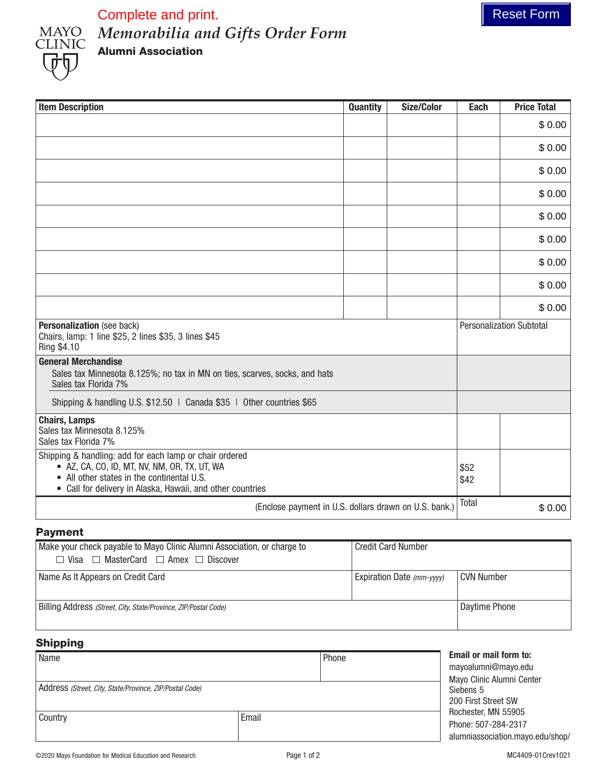



*Memorabilia and Gifts Order Form* Alumni Association Complete and print. The complete and print.

| <b>Item Description</b>                                                                                                                                                                                             | <b>Quantity</b> | <b>Size/Color</b> | Each         | <b>Price Total</b>              |
|---------------------------------------------------------------------------------------------------------------------------------------------------------------------------------------------------------------------|-----------------|-------------------|--------------|---------------------------------|
|                                                                                                                                                                                                                     |                 |                   |              | \$0.00                          |
|                                                                                                                                                                                                                     |                 |                   |              | \$0.00                          |
|                                                                                                                                                                                                                     |                 |                   |              | \$0.00                          |
|                                                                                                                                                                                                                     |                 |                   |              | \$0.00                          |
|                                                                                                                                                                                                                     |                 |                   |              | \$0.00                          |
|                                                                                                                                                                                                                     |                 |                   |              | \$0.00                          |
|                                                                                                                                                                                                                     |                 |                   |              | \$0.00                          |
|                                                                                                                                                                                                                     |                 |                   |              | \$0.00                          |
|                                                                                                                                                                                                                     |                 |                   |              | \$0.00                          |
| Personalization (see back)<br>Chairs, lamp: 1 line \$25, 2 lines \$35, 3 lines \$45<br>Ring \$4.10                                                                                                                  |                 |                   |              | <b>Personalization Subtotal</b> |
| <b>General Merchandise</b><br>Sales tax Minnesota 8.125%; no tax in MN on ties, scarves, socks, and hats<br>Sales tax Florida 7%                                                                                    |                 |                   |              |                                 |
| Shipping & handling U.S. \$12.50   Canada \$35   Other countries \$65                                                                                                                                               |                 |                   |              |                                 |
| <b>Chairs, Lamps</b><br>Sales tax Minnesota 8.125%<br>Sales tax Florida 7%                                                                                                                                          |                 |                   |              |                                 |
| Shipping & handling: add for each lamp or chair ordered<br>• AZ, CA, CO, ID, MT, NV, NM, OR, TX, UT, WA<br>• All other states in the continental U.S.<br>• Call for delivery in Alaska, Hawaii, and other countries |                 |                   | \$52<br>\$42 |                                 |
| (Enclose payment in U.S. dollars drawn on U.S. bank.)                                                                                                                                                               |                 | Total             | \$0.00       |                                 |

## Payment

| Make your check payable to Mayo Clinic Alumni Association, or charge to<br>$\Box$ Visa $\Box$ MasterCard $\Box$ Amex $\Box$ Discover | <b>Credit Card Number</b> |               |
|--------------------------------------------------------------------------------------------------------------------------------------|---------------------------|---------------|
| Name As It Appears on Credit Card                                                                                                    | Expiration Date (mm-yyyy) | l CVN Number  |
| Billing Address (Street, City, State/Province, ZIP/Postal Code)                                                                      |                           | Daytime Phone |

## Shipping

| Name                                                    |       | Phone                            | <b>Email or mail form to:</b><br>mayoalumni@mayo.edu<br>Mayo Clinic Alumni Center |  |  |
|---------------------------------------------------------|-------|----------------------------------|-----------------------------------------------------------------------------------|--|--|
| Address (Street, City, State/Province, ZIP/Postal Code) |       | Siebens 5<br>200 First Street SW |                                                                                   |  |  |
| Country                                                 | Email |                                  | Rochester, MN 55905<br>Phone: 507-284-2317<br>alumniassociation.mayo.edu/shop/    |  |  |